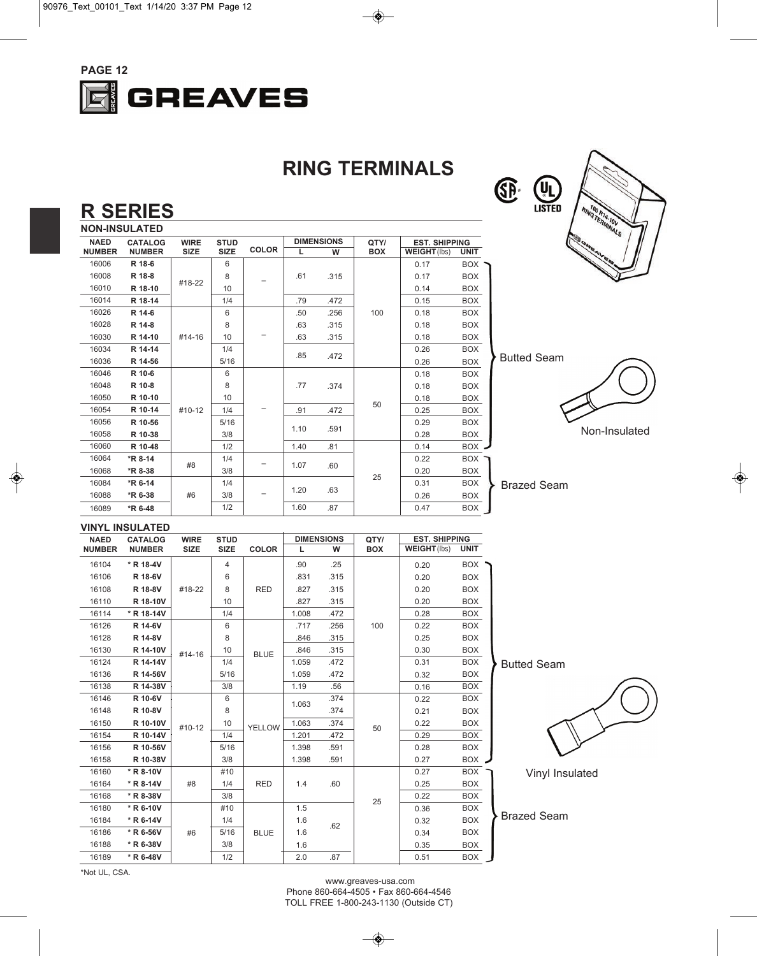

**RING TERMINALS**



#### **R SERIES**

| <b>NON-INSULATED</b>          |               |             |             |              |                   |      |            |                      |             |  |
|-------------------------------|---------------|-------------|-------------|--------------|-------------------|------|------------|----------------------|-------------|--|
| <b>NAED</b><br><b>CATALOG</b> |               | <b>WIRE</b> | <b>STUD</b> |              | <b>DIMENSIONS</b> |      | QTY/       | <b>EST. SHIPPING</b> |             |  |
| <b>NUMBER</b>                 | <b>NUMBER</b> | <b>SIZE</b> | <b>SIZE</b> | <b>COLOR</b> | L                 | W    | <b>BOX</b> | <b>WEIGHT(lbs)</b>   | <b>UNIT</b> |  |
| 16006                         | R 18-6        |             | 6           |              |                   |      |            | 0.17                 | <b>BOX</b>  |  |
| 16008                         | R 18-8        |             | 8           |              | .61               | .315 |            | 0.17                 | <b>BOX</b>  |  |
| 16010                         | R 18-10       | #18-22      | 10          |              |                   |      |            | 0.14                 | <b>BOX</b>  |  |
| 16014                         | R 18-14       |             | 1/4         |              | .79               | .472 |            | 0.15                 | <b>BOX</b>  |  |
| 16026                         | R 14-6        |             | 6           |              | .50               | .256 | 100        | 0.18                 | BOX         |  |
| 16028                         | R 14-8        |             | 8           |              | .63               | .315 |            | 0.18                 | <b>BOX</b>  |  |
| 16030                         | R 14-10       | #14-16      | 10          |              | .63               | .315 |            | 0.18                 | <b>BOX</b>  |  |
| 16034                         | R 14-14       |             | 1/4         |              | .85               | .472 |            | 0.26                 | <b>BOX</b>  |  |
| 16036                         | R 14-56       |             | 5/16        |              |                   |      |            | 0.26                 | <b>BOX</b>  |  |
| 16046                         | R 10-6        |             | 6           |              |                   |      |            | 0.18                 | <b>BOX</b>  |  |
| 16048                         | R 10-8        |             | 8           |              | .77               | .374 |            | 0.18                 | <b>BOX</b>  |  |
| 16050                         | R 10-10       |             | 10          |              |                   |      | 50         | 0.18                 | <b>BOX</b>  |  |
| 16054                         | R 10-14       | #10-12      | 1/4         |              | .91               | .472 |            | 0.25                 | <b>BOX</b>  |  |
| 16056                         | R 10-56       |             | 5/16        |              | 1.10              | .591 |            | 0.29                 | <b>BOX</b>  |  |
| 16058                         | R 10-38       |             | 3/8         |              |                   |      |            | 0.28                 | <b>BOX</b>  |  |
| 16060                         | R 10-48       |             | 1/2         |              | 1.40              | .81  |            | 0.14                 | BOX         |  |
| 16064                         | *R 8-14       |             | 1/4         |              | 1.07              | .60  |            | 0.22                 | BOX         |  |
| 16068                         | *R 8-38       | #8          | 3/8         |              |                   |      |            | 0.20                 | <b>BOX</b>  |  |
| 16084                         | *R 6-14       |             | 1/4         |              |                   |      | 25         | 0.31                 | <b>BOX</b>  |  |
| 16088                         | *R 6-38       | #6          | 3/8         |              | 1.20              | .63  |            | 0.26                 | <b>BOX</b>  |  |
| 16089                         | *R 6-48       |             | 1/2         |              | 1.60              | .87  |            | 0.47                 | <b>BOX</b>  |  |





Non-Insulated

Brazed Seam

#### **VINYL INSULATED**

| <b>NAED</b>   | <b>CATALOG</b> | <b>WIRE</b> | <b>STUD</b>    |               | <b>DIMENSIONS</b> |      | QTY/       | <b>EST. SHIPPING</b> |             |
|---------------|----------------|-------------|----------------|---------------|-------------------|------|------------|----------------------|-------------|
| <b>NUMBER</b> | <b>NUMBER</b>  | <b>SIZE</b> | <b>SIZE</b>    | <b>COLOR</b>  | L                 | w    | <b>BOX</b> | <b>WEIGHT(lbs)</b>   | <b>UNIT</b> |
| 16104         | * R 18-4V      | #18-22      | $\overline{4}$ |               | .90               | .25  | 100        | 0.20                 | <b>BOX</b>  |
| 16106         | R 18-6V        |             | 6              | <b>RED</b>    | .831              | .315 |            | 0.20                 | <b>BOX</b>  |
| 16108         | R 18-8V        |             | 8              |               | .827              | .315 |            | 0.20                 | <b>BOX</b>  |
| 16110         | R 18-10V       |             | 10             |               | .827              | .315 |            | 0.20                 | <b>BOX</b>  |
| 16114         | * R 18-14V     |             | 1/4            |               | 1.008             | .472 |            | 0.28                 | <b>BOX</b>  |
| 16126         | R 14-6V        |             | 6              | <b>BLUE</b>   | .717              | .256 |            | 0.22                 | BOX         |
| 16128         | R 14-8V        |             | 8              |               | .846              | .315 |            | 0.25                 | <b>BOX</b>  |
| 16130         | R 14-10V       | #14-16      | 10             |               | .846              | .315 |            | 0.30                 | <b>BOX</b>  |
| 16124         | R 14-14V       |             | 1/4            |               | 1.059             | .472 |            | 0.31                 | <b>BOX</b>  |
| 16136         | R 14-56V       |             | 5/16           |               | 1.059             | .472 |            | 0.32                 | <b>BOX</b>  |
| 16138         | R 14-38V       |             | 3/8            |               | 1.19              | .56  |            | 0.16                 | BOX         |
| 16146         | R 10-6V        |             | 6              | <b>YELLOW</b> | 1.063             | .374 | 50         | 0.22                 | <b>BOX</b>  |
| 16148         | R 10-8V        | #10-12      | 8              |               |                   | .374 |            | 0.21                 | <b>BOX</b>  |
| 16150         | R 10-10V       |             | 10             |               | 1.063             | .374 |            | 0.22                 | <b>BOX</b>  |
| 16154         | R 10-14V       |             | 1/4            |               | 1.201             | .472 |            | 0.29                 | <b>BOX</b>  |
| 16156         | R 10-56V       |             | 5/16           |               | 1.398             | .591 |            | 0.28                 | <b>BOX</b>  |
| 16158         | R 10-38V       |             | 3/8            |               | 1.398             | .591 |            | 0.27                 | <b>BOX</b>  |
| 16160         | * R 8-10V      |             | #10            |               | 1.4               | .60  | 25         | 0.27                 | <b>BOX</b>  |
| 16164         | * R 8-14V      | #8          | 1/4            | <b>RED</b>    |                   |      |            | 0.25                 | <b>BOX</b>  |
| 16168         | * R 8-38V      |             | 3/8            |               |                   |      |            | 0.22                 | <b>BOX</b>  |
| 16180         | * R 6-10V      |             | #10            |               | 1.5               |      |            | 0.36                 | <b>BOX</b>  |
| 16184         | * R 6-14V      | #6          | 1/4            | <b>BLUE</b>   | 1.6               | .62  |            | 0.32                 | <b>BOX</b>  |
| 16186         | * R 6-56V      |             | 5/16           |               | 1.6               |      |            | 0.34                 | <b>BOX</b>  |
| 16188         | * R 6-38V      |             | 3/8            |               | 1.6               |      |            | 0.35                 | <b>BOX</b>  |
| 16189         | * R 6-48V      |             | 1/2            |               | 2.0               | .87  |            | 0.51                 | <b>BOX</b>  |

Butted Seam



Vinyl Insulated

Brazed Seam

\*Not UL, CSA.